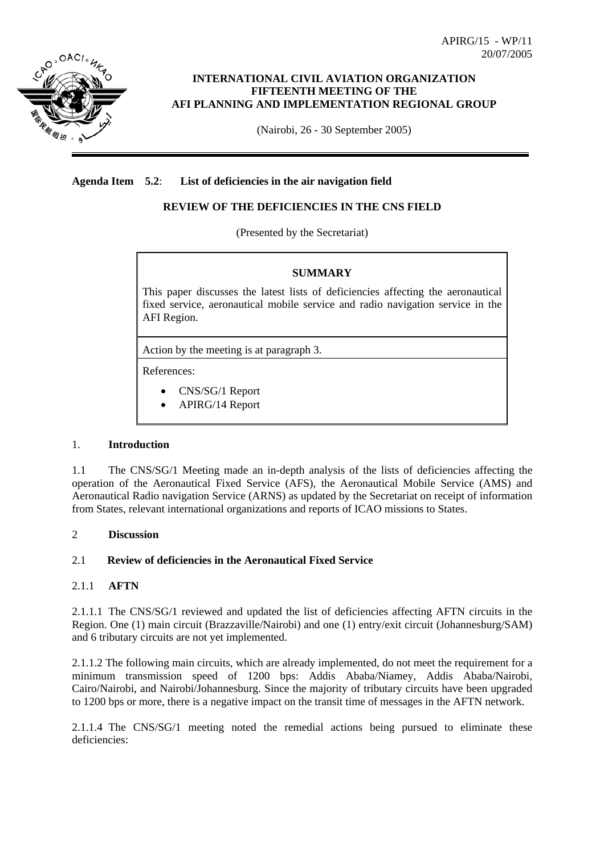

# **INTERNATIONAL CIVIL AVIATION ORGANIZATION FIFTEENTH MEETING OF THE AFI PLANNING AND IMPLEMENTATION REGIONAL GROUP**

(Nairobi, 26 - 30 September 2005)

# **Agenda Item 5.2**: **List of deficiencies in the air navigation field**

# **REVIEW OF THE DEFICIENCIES IN THE CNS FIELD**

(Presented by the Secretariat)

## **SUMMARY**

This paper discusses the latest lists of deficiencies affecting the aeronautical fixed service, aeronautical mobile service and radio navigation service in the AFI Region.

Action by the meeting is at paragraph 3.

References:

- CNS/SG/1 Report
- APIRG/14 Report

### 1. **Introduction**

1.1 The CNS/SG/1 Meeting made an in-depth analysis of the lists of deficiencies affecting the operation of the Aeronautical Fixed Service (AFS), the Aeronautical Mobile Service (AMS) and Aeronautical Radio navigation Service (ARNS) as updated by the Secretariat on receipt of information from States, relevant international organizations and reports of ICAO missions to States.

## 2 **Discussion**

# 2.1 **Review of deficiencies in the Aeronautical Fixed Service**

## 2.1.1 **AFTN**

2.1.1.1 The CNS/SG/1 reviewed and updated the list of deficiencies affecting AFTN circuits in the Region. One (1) main circuit (Brazzaville/Nairobi) and one (1) entry/exit circuit (Johannesburg/SAM) and 6 tributary circuits are not yet implemented.

2.1.1.2 The following main circuits, which are already implemented, do not meet the requirement for a minimum transmission speed of 1200 bps: Addis Ababa/Niamey, Addis Ababa/Nairobi, Cairo/Nairobi, and Nairobi/Johannesburg. Since the majority of tributary circuits have been upgraded to 1200 bps or more, there is a negative impact on the transit time of messages in the AFTN network.

2.1.1.4 The CNS/SG/1 meeting noted the remedial actions being pursued to eliminate these deficiencies: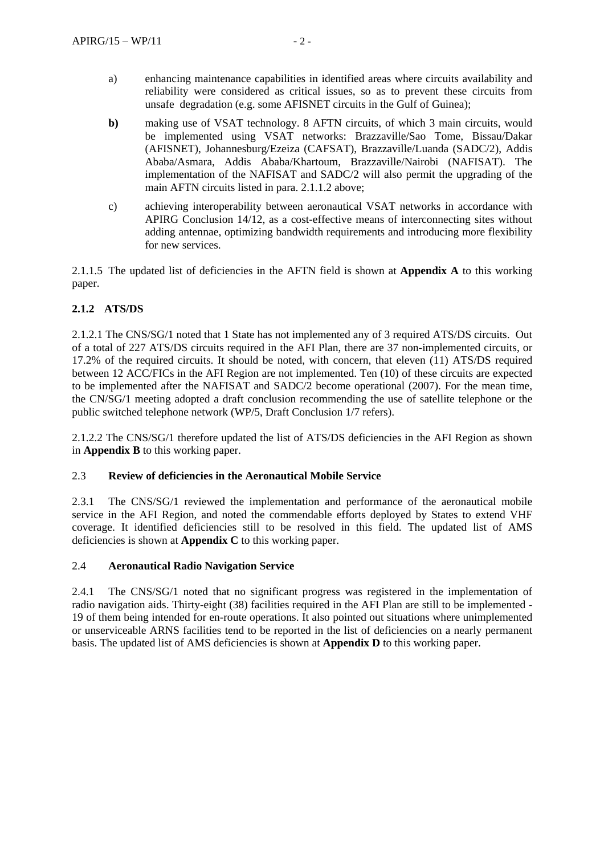- a) enhancing maintenance capabilities in identified areas where circuits availability and reliability were considered as critical issues, so as to prevent these circuits from unsafe degradation (e.g. some AFISNET circuits in the Gulf of Guinea);
- **b**) making use of VSAT technology. 8 AFTN circuits, of which 3 main circuits, would be implemented using VSAT networks: Brazzaville/Sao Tome, Bissau/Dakar (AFISNET), Johannesburg/Ezeiza (CAFSAT), Brazzaville/Luanda (SADC/2), Addis Ababa/Asmara, Addis Ababa/Khartoum, Brazzaville/Nairobi (NAFISAT). The implementation of the NAFISAT and SADC/2 will also permit the upgrading of the main AFTN circuits listed in para. 2.1.1.2 above;
- c) achieving interoperability between aeronautical VSAT networks in accordance with APIRG Conclusion 14/12, as a cost-effective means of interconnecting sites without adding antennae, optimizing bandwidth requirements and introducing more flexibility for new services.

2.1.1.5 The updated list of deficiencies in the AFTN field is shown at **Appendix A** to this working paper.

## **2.1.2 ATS/DS**

2.1.2.1 The CNS/SG/1 noted that 1 State has not implemented any of 3 required ATS/DS circuits. Out of a total of 227 ATS/DS circuits required in the AFI Plan, there are 37 non-implemented circuits, or 17.2% of the required circuits. It should be noted, with concern, that eleven (11) ATS/DS required between 12 ACC/FICs in the AFI Region are not implemented. Ten (10) of these circuits are expected to be implemented after the NAFISAT and SADC/2 become operational (2007). For the mean time, the CN/SG/1 meeting adopted a draft conclusion recommending the use of satellite telephone or the public switched telephone network (WP/5, Draft Conclusion 1/7 refers).

2.1.2.2 The CNS/SG/1 therefore updated the list of ATS/DS deficiencies in the AFI Region as shown in **Appendix B** to this working paper.

### 2.3 **Review of deficiencies in the Aeronautical Mobile Service**

2.3.1 The CNS/SG/1 reviewed the implementation and performance of the aeronautical mobile service in the AFI Region, and noted the commendable efforts deployed by States to extend VHF coverage. It identified deficiencies still to be resolved in this field. The updated list of AMS deficiencies is shown at **Appendix C** to this working paper.

### 2.4 **Aeronautical Radio Navigation Service**

2.4.1 The CNS/SG/1 noted that no significant progress was registered in the implementation of radio navigation aids. Thirty-eight (38) facilities required in the AFI Plan are still to be implemented - 19 of them being intended for en-route operations. It also pointed out situations where unimplemented or unserviceable ARNS facilities tend to be reported in the list of deficiencies on a nearly permanent basis. The updated list of AMS deficiencies is shown at **Appendix D** to this working paper.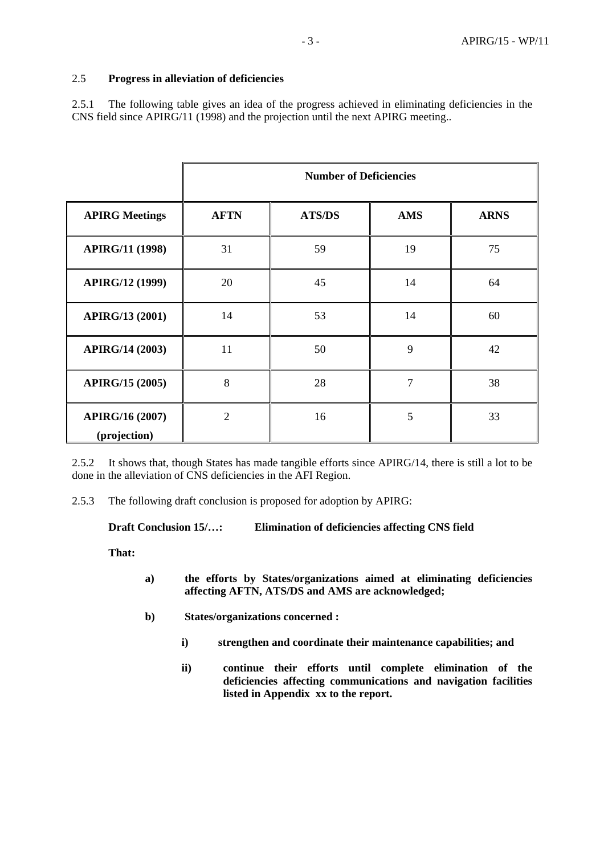# 2.5 **Progress in alleviation of deficiencies**

2.5.1 The following table gives an idea of the progress achieved in eliminating deficiencies in the CNS field since APIRG/11 (1998) and the projection until the next APIRG meeting..

|                                        |                | <b>Number of Deficiencies</b> |            |             |
|----------------------------------------|----------------|-------------------------------|------------|-------------|
| <b>APIRG Meetings</b>                  | <b>AFTN</b>    | <b>ATS/DS</b>                 | <b>AMS</b> | <b>ARNS</b> |
| <b>APIRG/11 (1998)</b>                 | 31             | 59                            | 19         | 75          |
| <b>APIRG/12 (1999)</b>                 | 20             | 45                            | 14         | 64          |
| <b>APIRG/13 (2001)</b>                 | 14             | 53                            | 14         | 60          |
| APIRG/14 (2003)                        | 11             | 50                            | 9          | 42          |
| <b>APIRG/15 (2005)</b>                 | 8              | 28                            | 7          | 38          |
| <b>APIRG/16 (2007)</b><br>(projection) | $\overline{2}$ | 16                            | 5          | 33          |

2.5.2 It shows that, though States has made tangible efforts since APIRG/14, there is still a lot to be done in the alleviation of CNS deficiencies in the AFI Region.

2.5.3 The following draft conclusion is proposed for adoption by APIRG:

**Draft Conclusion 15/…: Elimination of deficiencies affecting CNS field** 

**That:** 

- **a) the efforts by States/organizations aimed at eliminating deficiencies affecting AFTN, ATS/DS and AMS are acknowledged;**
- **b) States/organizations concerned :** 
	- **i) strengthen and coordinate their maintenance capabilities; and**
	- **ii) continue their efforts until complete elimination of the deficiencies affecting communications and navigation facilities listed in Appendix xx to the report.**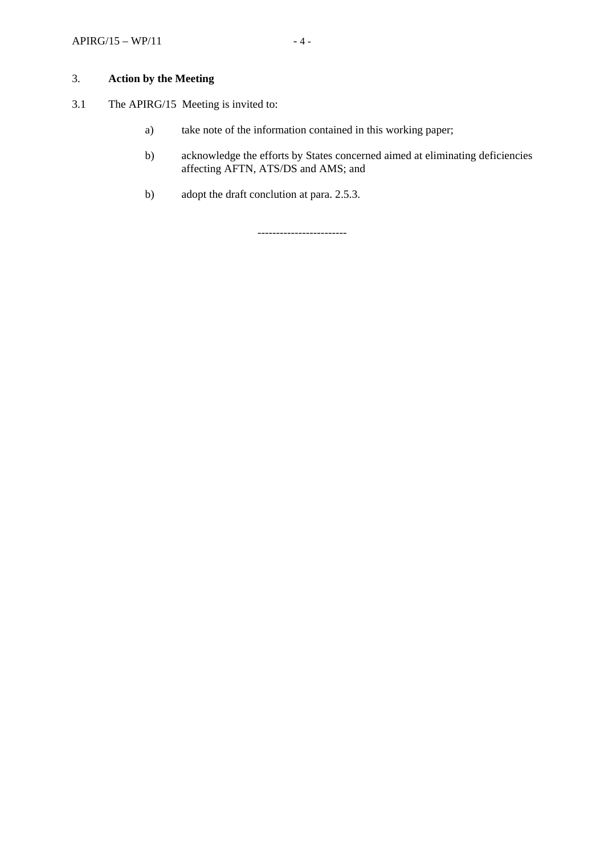## 3. **Action by the Meeting**

- 3.1 The APIRG/15 Meeting is invited to:
	- a) take note of the information contained in this working paper;
	- b) acknowledge the efforts by States concerned aimed at eliminating deficiencies affecting AFTN, ATS/DS and AMS; and
	- b) adopt the draft conclution at para. 2.5.3.

------------------------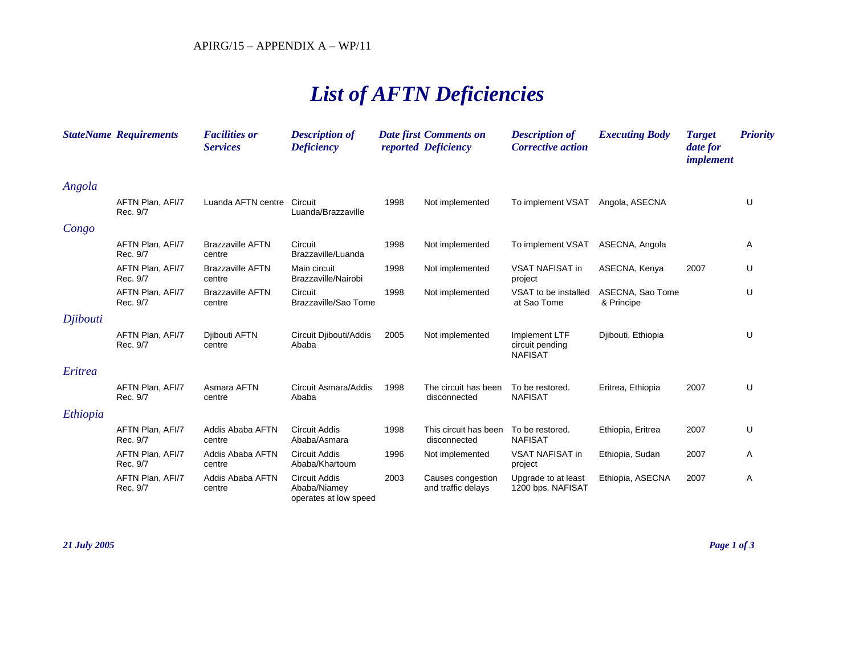# *List of AFTN Deficiencies*

|          | <b>StateName Requirements</b> | <b>Facilities or</b><br><b>Services</b> | <b>Description of</b><br><b>Deficiency</b>                    |      | <b>Date first Comments on</b><br>reported Deficiency | <b>Description of</b><br><b>Corrective action</b>  | <b>Executing Body</b>          | <b>Target</b><br>date for<br><i>implement</i> | <b>Priority</b> |
|----------|-------------------------------|-----------------------------------------|---------------------------------------------------------------|------|------------------------------------------------------|----------------------------------------------------|--------------------------------|-----------------------------------------------|-----------------|
| Angola   |                               |                                         |                                                               |      |                                                      |                                                    |                                |                                               |                 |
|          | AFTN Plan, AFI/7<br>Rec. 9/7  | Luanda AFTN centre                      | Circuit<br>Luanda/Brazzaville                                 | 1998 | Not implemented                                      | To implement VSAT                                  | Angola, ASECNA                 |                                               | U               |
| Congo    |                               |                                         |                                                               |      |                                                      |                                                    |                                |                                               |                 |
|          | AFTN Plan, AFI/7<br>Rec. 9/7  | <b>Brazzaville AFTN</b><br>centre       | Circuit<br>Brazzaville/Luanda                                 | 1998 | Not implemented                                      | To implement VSAT                                  | ASECNA, Angola                 |                                               | Α               |
|          | AFTN Plan, AFI/7<br>Rec. 9/7  | <b>Brazzaville AFTN</b><br>centre       | Main circuit<br>Brazzaville/Nairobi                           | 1998 | Not implemented                                      | <b>VSAT NAFISAT in</b><br>project                  | ASECNA, Kenya                  | 2007                                          | U               |
|          | AFTN Plan, AFI/7<br>Rec. 9/7  | <b>Brazzaville AFTN</b><br>centre       | Circuit<br>Brazzaville/Sao Tome                               | 1998 | Not implemented                                      | VSAT to be installed<br>at Sao Tome                | ASECNA, Sao Tome<br>& Principe |                                               | U               |
| Djibouti |                               |                                         |                                                               |      |                                                      |                                                    |                                |                                               |                 |
|          | AFTN Plan, AFI/7<br>Rec. 9/7  | Djibouti AFTN<br>centre                 | Circuit Djibouti/Addis<br>Ababa                               | 2005 | Not implemented                                      | Implement LTF<br>circuit pending<br><b>NAFISAT</b> | Djibouti, Ethiopia             |                                               | U               |
| Eritrea  |                               |                                         |                                                               |      |                                                      |                                                    |                                |                                               |                 |
|          | AFTN Plan, AFI/7<br>Rec. 9/7  | Asmara AFTN<br>centre                   | Circuit Asmara/Addis<br>Ababa                                 | 1998 | The circuit has been<br>disconnected                 | To be restored.<br><b>NAFISAT</b>                  | Eritrea, Ethiopia              | 2007                                          | U               |
| Ethiopia |                               |                                         |                                                               |      |                                                      |                                                    |                                |                                               |                 |
|          | AFTN Plan, AFI/7<br>Rec. 9/7  | Addis Ababa AFTN<br>centre              | <b>Circuit Addis</b><br>Ababa/Asmara                          | 1998 | This circuit has been<br>disconnected                | To be restored.<br><b>NAFISAT</b>                  | Ethiopia, Eritrea              | 2007                                          | U               |
|          | AFTN Plan, AFI/7<br>Rec. 9/7  | Addis Ababa AFTN<br>centre              | <b>Circuit Addis</b><br>Ababa/Khartoum                        | 1996 | Not implemented                                      | <b>VSAT NAFISAT in</b><br>project                  | Ethiopia, Sudan                | 2007                                          | Α               |
|          | AFTN Plan, AFI/7<br>Rec. 9/7  | Addis Ababa AFTN<br>centre              | <b>Circuit Addis</b><br>Ababa/Niamey<br>operates at low speed | 2003 | Causes congestion<br>and traffic delays              | Upgrade to at least<br>1200 bps. NAFISAT           | Ethiopia, ASECNA               | 2007                                          | Α               |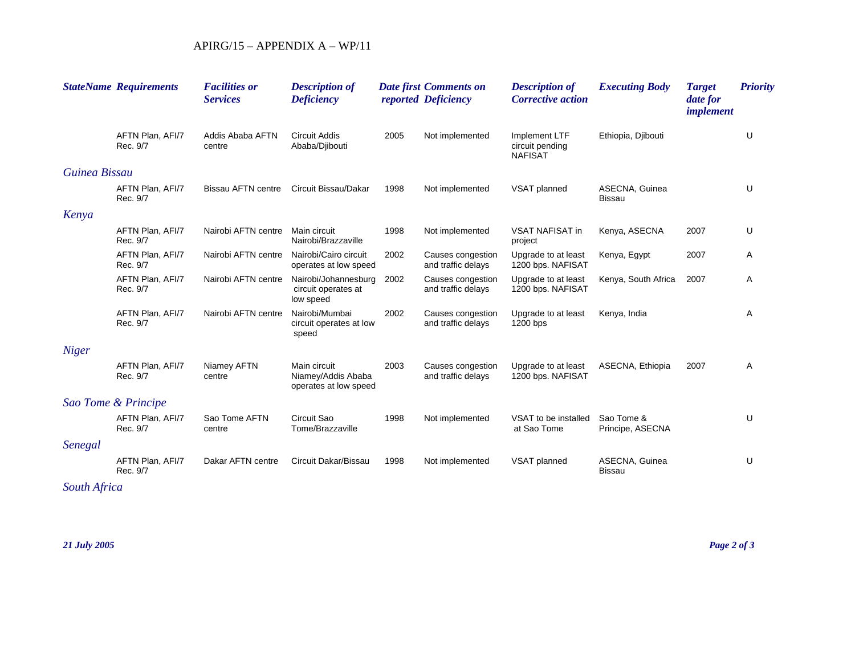|               | <b>StateName Requirements</b> | <b>Facilities or</b><br><b>Services</b> | <b>Description of</b><br><b>Deficiency</b>                  |      | <b>Date first Comments on</b><br>reported Deficiency | <b>Description of</b><br><b>Corrective action</b>  | <b>Executing Body</b>           | <b>Target</b><br>date for<br>implement | <b>Priority</b> |
|---------------|-------------------------------|-----------------------------------------|-------------------------------------------------------------|------|------------------------------------------------------|----------------------------------------------------|---------------------------------|----------------------------------------|-----------------|
|               | AFTN Plan, AFI/7<br>Rec. 9/7  | Addis Ababa AFTN<br>centre              | <b>Circuit Addis</b><br>Ababa/Djibouti                      | 2005 | Not implemented                                      | Implement LTF<br>circuit pending<br><b>NAFISAT</b> | Ethiopia, Djibouti              |                                        | U               |
| Guinea Bissau |                               |                                         |                                                             |      |                                                      |                                                    |                                 |                                        |                 |
|               | AFTN Plan, AFI/7<br>Rec. 9/7  | <b>Bissau AFTN centre</b>               | Circuit Bissau/Dakar                                        | 1998 | Not implemented                                      | VSAT planned                                       | ASECNA, Guinea<br><b>Bissau</b> |                                        | U               |
| Kenya         |                               |                                         |                                                             |      |                                                      |                                                    |                                 |                                        |                 |
|               | AFTN Plan, AFI/7<br>Rec. 9/7  | Nairobi AFTN centre                     | Main circuit<br>Nairobi/Brazzaville                         | 1998 | Not implemented                                      | <b>VSAT NAFISAT in</b><br>project                  | Kenya, ASECNA                   | 2007                                   | U               |
|               | AFTN Plan, AFI/7<br>Rec. 9/7  | Nairobi AFTN centre                     | Nairobi/Cairo circuit<br>operates at low speed              | 2002 | Causes congestion<br>and traffic delays              | Upgrade to at least<br>1200 bps. NAFISAT           | Kenya, Egypt                    | 2007                                   | Α               |
|               | AFTN Plan, AFI/7<br>Rec. 9/7  | Nairobi AFTN centre                     | Nairobi/Johannesburg<br>circuit operates at<br>low speed    | 2002 | Causes congestion<br>and traffic delays              | Upgrade to at least<br>1200 bps. NAFISAT           | Kenya, South Africa             | 2007                                   | Α               |
|               | AFTN Plan, AFI/7<br>Rec. 9/7  | Nairobi AFTN centre                     | Nairobi/Mumbai<br>circuit operates at low<br>speed          | 2002 | Causes congestion<br>and traffic delays              | Upgrade to at least<br>1200 bps                    | Kenya, India                    |                                        | Α               |
| <b>Niger</b>  |                               |                                         |                                                             |      |                                                      |                                                    |                                 |                                        |                 |
|               | AFTN Plan, AFI/7<br>Rec. 9/7  | Niamey AFTN<br>centre                   | Main circuit<br>Niamey/Addis Ababa<br>operates at low speed | 2003 | Causes congestion<br>and traffic delays              | Upgrade to at least<br>1200 bps. NAFISAT           | ASECNA, Ethiopia                | 2007                                   | Α               |
|               | Sao Tome & Principe           |                                         |                                                             |      |                                                      |                                                    |                                 |                                        |                 |
|               | AFTN Plan, AFI/7<br>Rec. 9/7  | Sao Tome AFTN<br>centre                 | Circuit Sao<br>Tome/Brazzaville                             | 1998 | Not implemented                                      | VSAT to be installed<br>at Sao Tome                | Sao Tome &<br>Principe, ASECNA  |                                        | U               |
| Senegal       |                               |                                         |                                                             |      |                                                      |                                                    |                                 |                                        |                 |
|               | AFTN Plan, AFI/7<br>Rec. 9/7  | Dakar AFTN centre                       | Circuit Dakar/Bissau                                        | 1998 | Not implemented                                      | VSAT planned                                       | ASECNA, Guinea<br>Bissau        |                                        | U               |

*South Africa*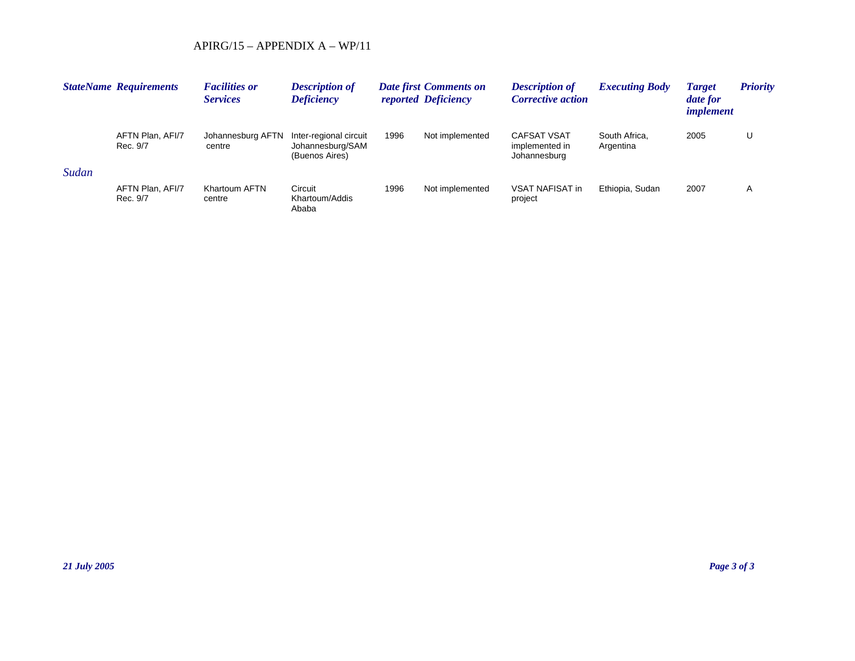|       | <b>StateName Requirements</b> | <b>Facilities or</b><br><b>Services</b> | <b>Description of</b><br><b>Deficiency</b>                   |      | <b>Date first Comments on</b><br>reported Deficiency | <b>Description of</b><br><b>Corrective action</b>    | <i><b>Executing Body</b></i> | <b>Target</b><br>date for<br><i>implement</i> | <b>Priority</b> |
|-------|-------------------------------|-----------------------------------------|--------------------------------------------------------------|------|------------------------------------------------------|------------------------------------------------------|------------------------------|-----------------------------------------------|-----------------|
|       | AFTN Plan, AFI/7<br>Rec. 9/7  | Johannesburg AFTN<br>centre             | Inter-regional circuit<br>Johannesburg/SAM<br>(Buenos Aires) | 1996 | Not implemented                                      | <b>CAFSAT VSAT</b><br>implemented in<br>Johannesburg | South Africa.<br>Argentina   | 2005                                          |                 |
| Sudan |                               |                                         |                                                              |      |                                                      |                                                      |                              |                                               |                 |
|       | AFTN Plan, AFI/7<br>Rec. 9/7  | Khartoum AFTN<br>centre                 | Circuit<br>Khartoum/Addis<br>Ababa                           | 1996 | Not implemented                                      | VSAT NAFISAT in<br>project                           | Ethiopia, Sudan              | 2007                                          | A               |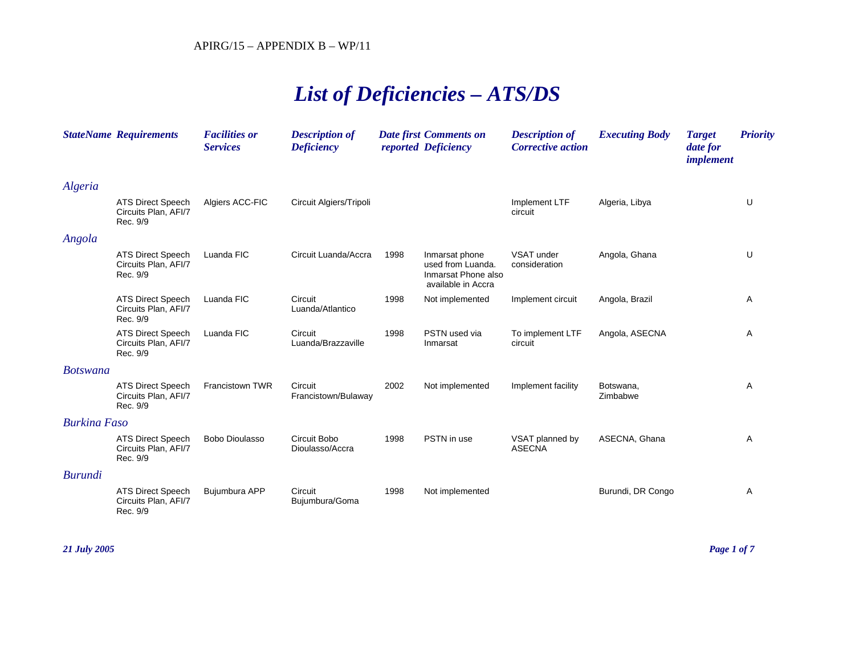# *List of Deficiencies – ATS/DS*

|                     | <b>StateName Requirements</b>                                | <b>Facilities or</b><br><b>Services</b> | <b>Description of</b><br><b>Deficiency</b> |      | <b>Date first Comments on</b><br>reported Deficiency                             | <b>Description of</b><br><b>Corrective action</b> | <b>Executing Body</b> | <b>Target</b><br>date for<br>implement | <b>Priority</b> |
|---------------------|--------------------------------------------------------------|-----------------------------------------|--------------------------------------------|------|----------------------------------------------------------------------------------|---------------------------------------------------|-----------------------|----------------------------------------|-----------------|
| Algeria             |                                                              |                                         |                                            |      |                                                                                  |                                                   |                       |                                        |                 |
|                     | <b>ATS Direct Speech</b><br>Circuits Plan, AFI/7<br>Rec. 9/9 | Algiers ACC-FIC                         | Circuit Algiers/Tripoli                    |      |                                                                                  | Implement LTF<br>circuit                          | Algeria, Libya        |                                        | U               |
| Angola              |                                                              |                                         |                                            |      |                                                                                  |                                                   |                       |                                        |                 |
|                     | <b>ATS Direct Speech</b><br>Circuits Plan, AFI/7<br>Rec. 9/9 | Luanda FIC                              | Circuit Luanda/Accra                       | 1998 | Inmarsat phone<br>used from Luanda.<br>Inmarsat Phone also<br>available in Accra | VSAT under<br>consideration                       | Angola, Ghana         |                                        | U               |
|                     | <b>ATS Direct Speech</b><br>Circuits Plan, AFI/7<br>Rec. 9/9 | Luanda FIC                              | Circuit<br>Luanda/Atlantico                | 1998 | Not implemented                                                                  | Implement circuit                                 | Angola, Brazil        |                                        | Α               |
|                     | <b>ATS Direct Speech</b><br>Circuits Plan, AFI/7<br>Rec. 9/9 | Luanda FIC                              | Circuit<br>Luanda/Brazzaville              | 1998 | PSTN used via<br>Inmarsat                                                        | To implement LTF<br>circuit                       | Angola, ASECNA        |                                        | Α               |
| <b>Botswana</b>     |                                                              |                                         |                                            |      |                                                                                  |                                                   |                       |                                        |                 |
|                     | <b>ATS Direct Speech</b><br>Circuits Plan, AFI/7<br>Rec. 9/9 | Francistown TWR                         | Circuit<br>Francistown/Bulaway             | 2002 | Not implemented                                                                  | Implement facility                                | Botswana,<br>Zimbabwe |                                        | Α               |
| <b>Burkina Faso</b> |                                                              |                                         |                                            |      |                                                                                  |                                                   |                       |                                        |                 |
|                     | <b>ATS Direct Speech</b><br>Circuits Plan, AFI/7<br>Rec. 9/9 | Bobo Dioulasso                          | Circuit Bobo<br>Dioulasso/Accra            | 1998 | PSTN in use                                                                      | VSAT planned by<br><b>ASECNA</b>                  | ASECNA, Ghana         |                                        | Α               |
| Burundi             |                                                              |                                         |                                            |      |                                                                                  |                                                   |                       |                                        |                 |
|                     | <b>ATS Direct Speech</b><br>Circuits Plan, AFI/7<br>Rec. 9/9 | Bujumbura APP                           | Circuit<br>Bujumbura/Goma                  | 1998 | Not implemented                                                                  |                                                   | Burundi, DR Congo     |                                        | Α               |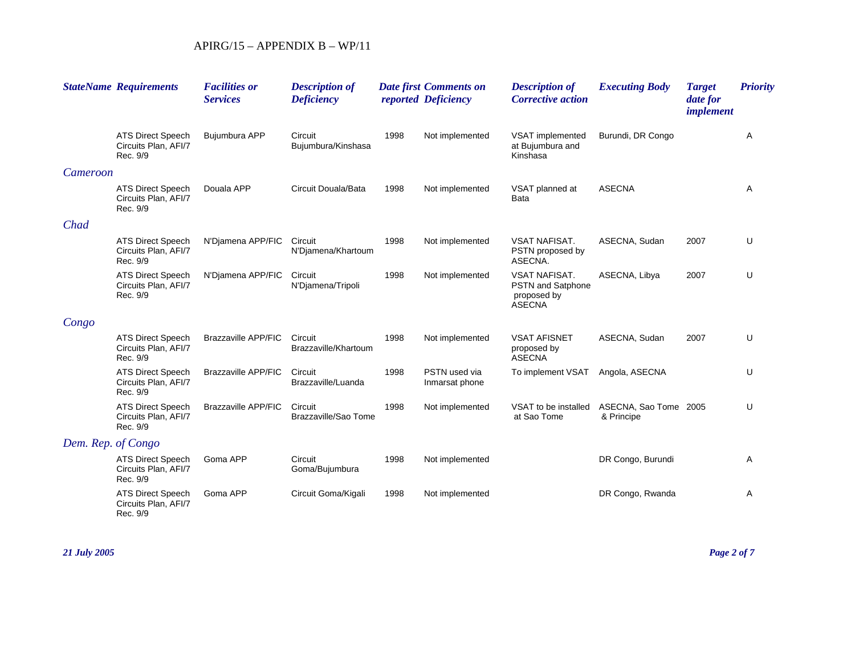|                    | <b>StateName Requirements</b>                                | <b>Facilities or</b><br><b>Services</b> | <b>Description of</b><br><b>Deficiency</b> |      | <b>Date first Comments on</b><br>reported Deficiency | <b>Description of</b><br><b>Corrective action</b>                                | <b>Executing Body</b>               | <b>Target</b><br>date for<br><i>implement</i> | <b>Priority</b> |
|--------------------|--------------------------------------------------------------|-----------------------------------------|--------------------------------------------|------|------------------------------------------------------|----------------------------------------------------------------------------------|-------------------------------------|-----------------------------------------------|-----------------|
|                    | <b>ATS Direct Speech</b><br>Circuits Plan, AFI/7<br>Rec. 9/9 | Bujumbura APP                           | Circuit<br>Bujumbura/Kinshasa              | 1998 | Not implemented                                      | VSAT implemented<br>at Bujumbura and<br>Kinshasa                                 | Burundi, DR Congo                   |                                               | Α               |
| Cameroon           |                                                              |                                         |                                            |      |                                                      |                                                                                  |                                     |                                               |                 |
|                    | <b>ATS Direct Speech</b><br>Circuits Plan, AFI/7<br>Rec. 9/9 | Douala APP                              | Circuit Douala/Bata                        | 1998 | Not implemented                                      | VSAT planned at<br>Bata                                                          | <b>ASECNA</b>                       |                                               | Α               |
| Chad               |                                                              |                                         |                                            |      |                                                      |                                                                                  |                                     |                                               |                 |
|                    | <b>ATS Direct Speech</b><br>Circuits Plan, AFI/7<br>Rec. 9/9 | N'Diamena APP/FIC                       | Circuit<br>N'Djamena/Khartoum              | 1998 | Not implemented                                      | <b>VSAT NAFISAT.</b><br>PSTN proposed by<br>ASECNA.                              | ASECNA, Sudan                       | 2007                                          | U               |
|                    | <b>ATS Direct Speech</b><br>Circuits Plan, AFI/7<br>Rec. 9/9 | N'Diamena APP/FIC                       | Circuit<br>N'Djamena/Tripoli               | 1998 | Not implemented                                      | <b>VSAT NAFISAT.</b><br><b>PSTN</b> and Satphone<br>proposed by<br><b>ASECNA</b> | ASECNA, Libya                       | 2007                                          | U               |
| Congo              |                                                              |                                         |                                            |      |                                                      |                                                                                  |                                     |                                               |                 |
|                    | <b>ATS Direct Speech</b><br>Circuits Plan, AFI/7<br>Rec. 9/9 | <b>Brazzaville APP/FIC</b>              | Circuit<br>Brazzaville/Khartoum            | 1998 | Not implemented                                      | <b>VSAT AFISNET</b><br>proposed by<br><b>ASECNA</b>                              | ASECNA, Sudan                       | 2007                                          | U               |
|                    | <b>ATS Direct Speech</b><br>Circuits Plan, AFI/7<br>Rec. 9/9 | <b>Brazzaville APP/FIC</b>              | Circuit<br>Brazzaville/Luanda              | 1998 | PSTN used via<br>Inmarsat phone                      | To implement VSAT                                                                | Angola, ASECNA                      |                                               | U               |
|                    | <b>ATS Direct Speech</b><br>Circuits Plan, AFI/7<br>Rec. 9/9 | <b>Brazzaville APP/FIC</b>              | Circuit<br>Brazzaville/Sao Tome            | 1998 | Not implemented                                      | VSAT to be installed<br>at Sao Tome                                              | ASECNA, Sao Tome 2005<br>& Principe |                                               | U               |
| Dem. Rep. of Congo |                                                              |                                         |                                            |      |                                                      |                                                                                  |                                     |                                               |                 |
|                    | <b>ATS Direct Speech</b><br>Circuits Plan, AFI/7<br>Rec. 9/9 | Goma APP                                | Circuit<br>Goma/Bujumbura                  | 1998 | Not implemented                                      |                                                                                  | DR Congo, Burundi                   |                                               | Α               |
|                    | <b>ATS Direct Speech</b><br>Circuits Plan, AFI/7<br>Rec. 9/9 | Goma APP                                | Circuit Goma/Kigali                        | 1998 | Not implemented                                      |                                                                                  | DR Congo, Rwanda                    |                                               | Α               |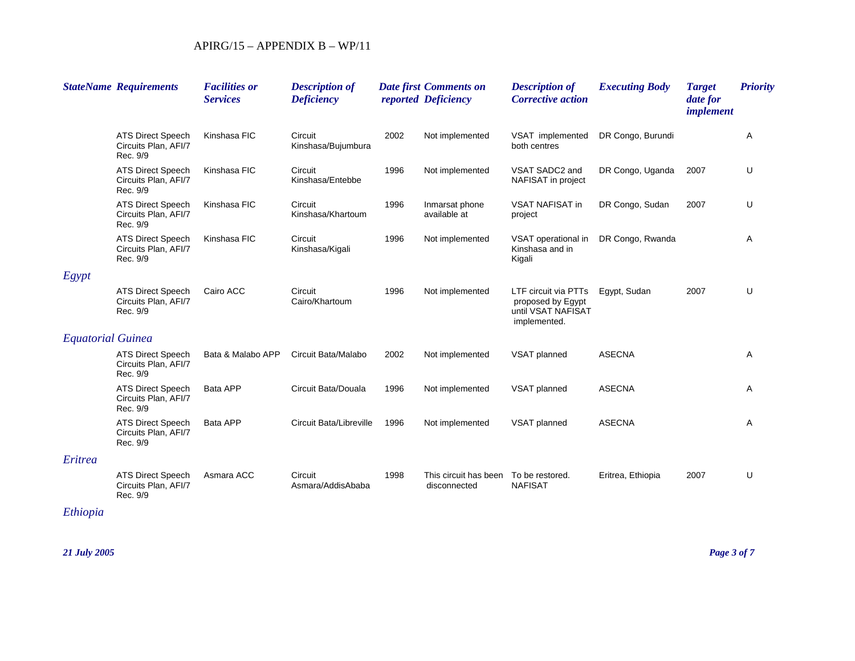|                          | <b>StateName Requirements</b>                                | <b>Facilities or</b><br><b>Services</b> | <b>Description of</b><br><b>Deficiency</b> |      | <b>Date first Comments on</b><br>reported Deficiency | <b>Description of</b><br><b>Corrective action</b>                               | <b>Executing Body</b> | <b>Target</b><br>date for<br>implement | <b>Priority</b> |
|--------------------------|--------------------------------------------------------------|-----------------------------------------|--------------------------------------------|------|------------------------------------------------------|---------------------------------------------------------------------------------|-----------------------|----------------------------------------|-----------------|
|                          | <b>ATS Direct Speech</b><br>Circuits Plan, AFI/7<br>Rec. 9/9 | Kinshasa FIC                            | Circuit<br>Kinshasa/Bujumbura              | 2002 | Not implemented                                      | VSAT implemented<br>both centres                                                | DR Congo, Burundi     |                                        | Α               |
|                          | <b>ATS Direct Speech</b><br>Circuits Plan, AFI/7<br>Rec. 9/9 | Kinshasa FIC                            | Circuit<br>Kinshasa/Entebbe                | 1996 | Not implemented                                      | VSAT SADC2 and<br>NAFISAT in project                                            | DR Congo, Uganda      | 2007                                   | U               |
|                          | <b>ATS Direct Speech</b><br>Circuits Plan, AFI/7<br>Rec. 9/9 | Kinshasa FIC                            | Circuit<br>Kinshasa/Khartoum               | 1996 | Inmarsat phone<br>available at                       | <b>VSAT NAFISAT in</b><br>project                                               | DR Congo, Sudan       | 2007                                   | U               |
|                          | <b>ATS Direct Speech</b><br>Circuits Plan, AFI/7<br>Rec. 9/9 | Kinshasa FIC                            | Circuit<br>Kinshasa/Kigali                 | 1996 | Not implemented                                      | VSAT operational in<br>Kinshasa and in<br>Kigali                                | DR Congo, Rwanda      |                                        | Α               |
| Egypt                    |                                                              |                                         |                                            |      |                                                      |                                                                                 |                       |                                        |                 |
|                          | <b>ATS Direct Speech</b><br>Circuits Plan, AFI/7<br>Rec. 9/9 | Cairo ACC                               | Circuit<br>Cairo/Khartoum                  | 1996 | Not implemented                                      | LTF circuit via PTTs<br>proposed by Egypt<br>until VSAT NAFISAT<br>implemented. | Egypt, Sudan          | 2007                                   | U               |
| <b>Equatorial Guinea</b> |                                                              |                                         |                                            |      |                                                      |                                                                                 |                       |                                        |                 |
|                          | <b>ATS Direct Speech</b><br>Circuits Plan, AFI/7<br>Rec. 9/9 | Bata & Malabo APP                       | Circuit Bata/Malabo                        | 2002 | Not implemented                                      | VSAT planned                                                                    | <b>ASECNA</b>         |                                        | Α               |
|                          | <b>ATS Direct Speech</b><br>Circuits Plan, AFI/7<br>Rec. 9/9 | Bata APP                                | Circuit Bata/Douala                        | 1996 | Not implemented                                      | VSAT planned                                                                    | <b>ASECNA</b>         |                                        | Α               |
|                          | <b>ATS Direct Speech</b><br>Circuits Plan, AFI/7<br>Rec. 9/9 | Bata APP                                | Circuit Bata/Libreville                    | 1996 | Not implemented                                      | VSAT planned                                                                    | <b>ASECNA</b>         |                                        | Α               |
| Eritrea                  |                                                              |                                         |                                            |      |                                                      |                                                                                 |                       |                                        |                 |
|                          | <b>ATS Direct Speech</b><br>Circuits Plan, AFI/7<br>Rec. 9/9 | Asmara ACC                              | Circuit<br>Asmara/AddisAbaba               | 1998 | This circuit has been<br>disconnected                | To be restored.<br><b>NAFISAT</b>                                               | Eritrea, Ethiopia     | 2007                                   | U               |

# *Ethiopia*

*21 July 2005 Page 3 of 7*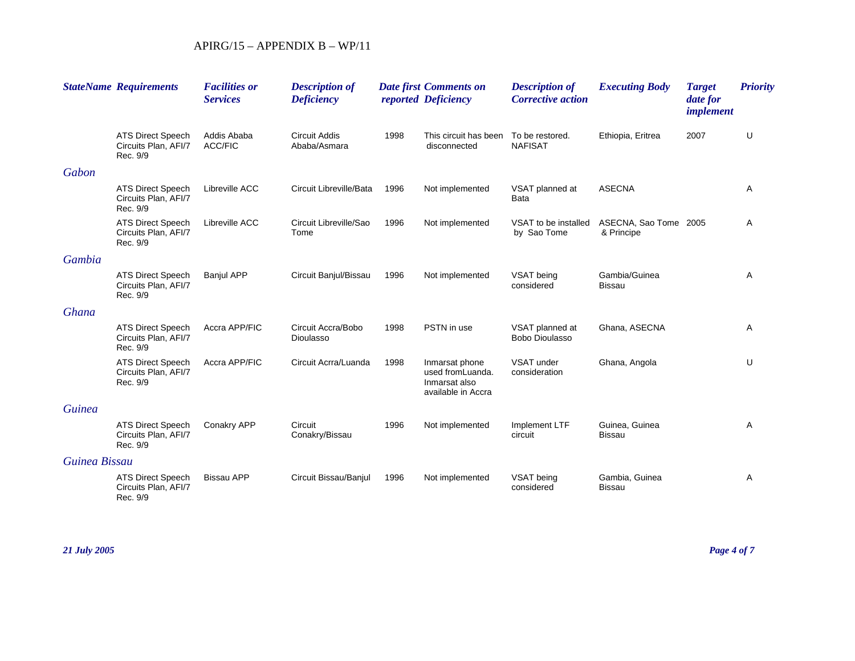|               | <b>StateName Requirements</b>                                | <b>Facilities or</b><br><b>Services</b> | <b>Description of</b><br><b>Deficiency</b> |      | <b>Date first Comments on</b><br>reported Deficiency                      | <b>Description of</b><br><b>Corrective action</b> | <b>Executing Body</b>               | <b>Target</b><br>date for<br>implement | <b>Priority</b> |
|---------------|--------------------------------------------------------------|-----------------------------------------|--------------------------------------------|------|---------------------------------------------------------------------------|---------------------------------------------------|-------------------------------------|----------------------------------------|-----------------|
|               | <b>ATS Direct Speech</b><br>Circuits Plan, AFI/7<br>Rec. 9/9 | Addis Ababa<br><b>ACC/FIC</b>           | <b>Circuit Addis</b><br>Ababa/Asmara       | 1998 | This circuit has been<br>disconnected                                     | To be restored.<br><b>NAFISAT</b>                 | Ethiopia, Eritrea                   | 2007                                   | U               |
| Gabon         |                                                              |                                         |                                            |      |                                                                           |                                                   |                                     |                                        |                 |
|               | <b>ATS Direct Speech</b><br>Circuits Plan, AFI/7<br>Rec. 9/9 | Libreville ACC                          | Circuit Libreville/Bata                    | 1996 | Not implemented                                                           | VSAT planned at<br>Bata                           | <b>ASECNA</b>                       |                                        | Α               |
|               | <b>ATS Direct Speech</b><br>Circuits Plan, AFI/7<br>Rec. 9/9 | Libreville ACC                          | Circuit Libreville/Sao<br>Tome             | 1996 | Not implemented                                                           | VSAT to be installed<br>by Sao Tome               | ASECNA, Sao Tome 2005<br>& Principe |                                        | Α               |
| Gambia        |                                                              |                                         |                                            |      |                                                                           |                                                   |                                     |                                        |                 |
|               | <b>ATS Direct Speech</b><br>Circuits Plan, AFI/7<br>Rec. 9/9 | <b>Banjul APP</b>                       | Circuit Banjul/Bissau                      | 1996 | Not implemented                                                           | VSAT being<br>considered                          | Gambia/Guinea<br><b>Bissau</b>      |                                        | Α               |
| Ghana         |                                                              |                                         |                                            |      |                                                                           |                                                   |                                     |                                        |                 |
|               | <b>ATS Direct Speech</b><br>Circuits Plan, AFI/7<br>Rec. 9/9 | Accra APP/FIC                           | Circuit Accra/Bobo<br>Dioulasso            | 1998 | PSTN in use                                                               | VSAT planned at<br>Bobo Dioulasso                 | Ghana, ASECNA                       |                                        | Α               |
|               | <b>ATS Direct Speech</b><br>Circuits Plan, AFI/7<br>Rec. 9/9 | Accra APP/FIC                           | Circuit Acrra/Luanda                       | 1998 | Inmarsat phone<br>used fromLuanda.<br>Inmarsat also<br>available in Accra | VSAT under<br>consideration                       | Ghana, Angola                       |                                        | U               |
| <b>Guinea</b> |                                                              |                                         |                                            |      |                                                                           |                                                   |                                     |                                        |                 |
|               | <b>ATS Direct Speech</b><br>Circuits Plan, AFI/7<br>Rec. 9/9 | Conakry APP                             | Circuit<br>Conakry/Bissau                  | 1996 | Not implemented                                                           | Implement LTF<br>circuit                          | Guinea, Guinea<br><b>Bissau</b>     |                                        | Α               |
| Guinea Bissau |                                                              |                                         |                                            |      |                                                                           |                                                   |                                     |                                        |                 |
|               | <b>ATS Direct Speech</b><br>Circuits Plan, AFI/7<br>Rec. 9/9 | <b>Bissau APP</b>                       | Circuit Bissau/Banjul                      | 1996 | Not implemented                                                           | VSAT being<br>considered                          | Gambia, Guinea<br><b>Bissau</b>     |                                        | Α               |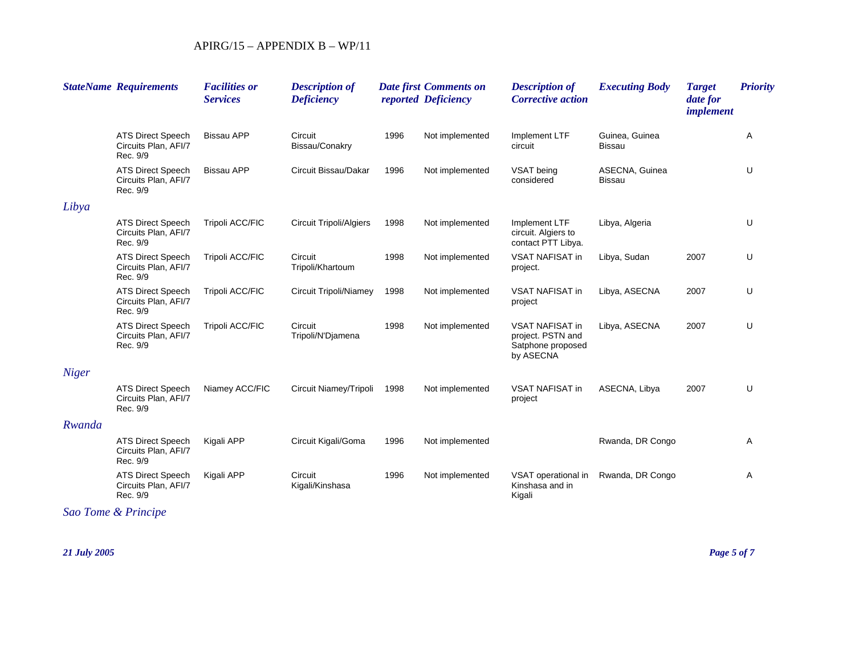|              | <b>StateName Requirements</b>                                | <b>Facilities or</b><br><b>Services</b> | <b>Description of</b><br><b>Deficiency</b> |      | <b>Date first Comments on</b><br>reported Deficiency | <b>Description of</b><br><b>Corrective action</b>                             | <b>Executing Body</b>           | <b>Target</b><br>date for<br><i>implement</i> | <b>Priority</b> |
|--------------|--------------------------------------------------------------|-----------------------------------------|--------------------------------------------|------|------------------------------------------------------|-------------------------------------------------------------------------------|---------------------------------|-----------------------------------------------|-----------------|
|              | <b>ATS Direct Speech</b><br>Circuits Plan, AFI/7<br>Rec. 9/9 | <b>Bissau APP</b>                       | Circuit<br>Bissau/Conakry                  | 1996 | Not implemented                                      | Implement LTF<br>circuit                                                      | Guinea, Guinea<br><b>Bissau</b> |                                               | Α               |
|              | <b>ATS Direct Speech</b><br>Circuits Plan, AFI/7<br>Rec. 9/9 | <b>Bissau APP</b>                       | Circuit Bissau/Dakar                       | 1996 | Not implemented                                      | VSAT being<br>considered                                                      | ASECNA, Guinea<br><b>Bissau</b> |                                               | U               |
| Libya        |                                                              |                                         |                                            |      |                                                      |                                                                               |                                 |                                               |                 |
|              | <b>ATS Direct Speech</b><br>Circuits Plan, AFI/7<br>Rec. 9/9 | Tripoli ACC/FIC                         | <b>Circuit Tripoli/Algiers</b>             | 1998 | Not implemented                                      | Implement LTF<br>circuit. Algiers to<br>contact PTT Libya.                    | Libya, Algeria                  |                                               | U               |
|              | <b>ATS Direct Speech</b><br>Circuits Plan, AFI/7<br>Rec. 9/9 | Tripoli ACC/FIC                         | Circuit<br>Tripoli/Khartoum                | 1998 | Not implemented                                      | VSAT NAFISAT in<br>project.                                                   | Libya, Sudan                    | 2007                                          | U               |
|              | <b>ATS Direct Speech</b><br>Circuits Plan, AFI/7<br>Rec. 9/9 | Tripoli ACC/FIC                         | <b>Circuit Tripoli/Niamey</b>              | 1998 | Not implemented                                      | <b>VSAT NAFISAT in</b><br>project                                             | Libya, ASECNA                   | 2007                                          | U               |
|              | <b>ATS Direct Speech</b><br>Circuits Plan, AFI/7<br>Rec. 9/9 | Tripoli ACC/FIC                         | Circuit<br>Tripoli/N'Djamena               | 1998 | Not implemented                                      | <b>VSAT NAFISAT in</b><br>project. PSTN and<br>Satphone proposed<br>by ASECNA | Libya, ASECNA                   | 2007                                          | U               |
| <b>Niger</b> |                                                              |                                         |                                            |      |                                                      |                                                                               |                                 |                                               |                 |
|              | <b>ATS Direct Speech</b><br>Circuits Plan, AFI/7<br>Rec. 9/9 | Niamey ACC/FIC                          | Circuit Niamey/Tripoli                     | 1998 | Not implemented                                      | VSAT NAFISAT in<br>project                                                    | ASECNA, Libya                   | 2007                                          | U               |
| Rwanda       |                                                              |                                         |                                            |      |                                                      |                                                                               |                                 |                                               |                 |
|              | <b>ATS Direct Speech</b><br>Circuits Plan, AFI/7<br>Rec. 9/9 | Kigali APP                              | Circuit Kigali/Goma                        | 1996 | Not implemented                                      |                                                                               | Rwanda, DR Congo                |                                               | Α               |
|              | <b>ATS Direct Speech</b><br>Circuits Plan, AFI/7<br>Rec. 9/9 | Kigali APP                              | Circuit<br>Kigali/Kinshasa                 | 1996 | Not implemented                                      | VSAT operational in<br>Kinshasa and in<br>Kigali                              | Rwanda, DR Congo                |                                               | Α               |

*Sao Tome & Principe*

*21 July 2005 Page 5 of 7*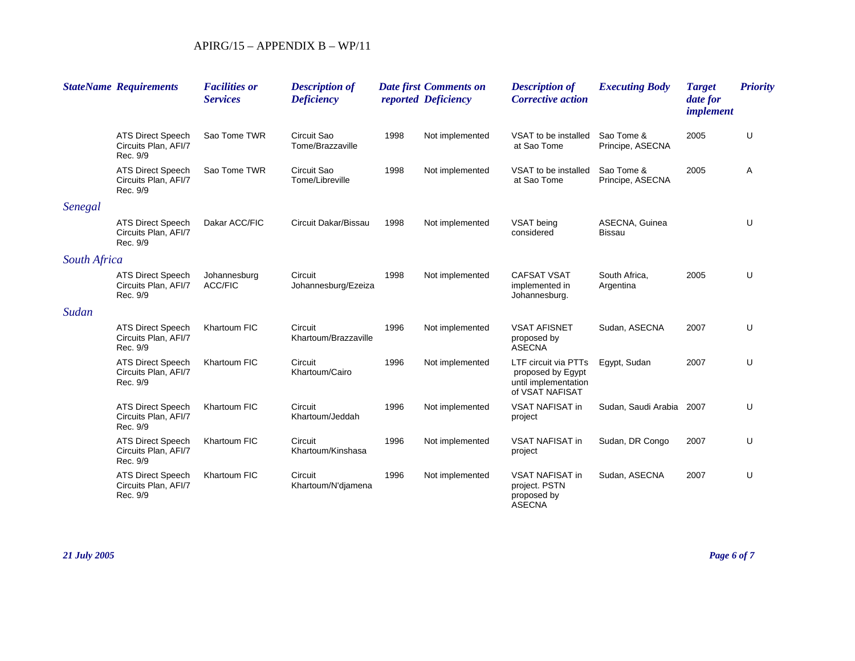|              | <b>StateName Requirements</b>                                | <b>Facilities or</b><br><b>Services</b> | <b>Description of</b><br><b>Deficiency</b> |      | <b>Date first Comments on</b><br>reported Deficiency | <b>Description of</b><br><b>Corrective action</b>                                    | <b>Executing Body</b>           | <b>Target</b><br>date for<br><i>implement</i> | <b>Priority</b> |
|--------------|--------------------------------------------------------------|-----------------------------------------|--------------------------------------------|------|------------------------------------------------------|--------------------------------------------------------------------------------------|---------------------------------|-----------------------------------------------|-----------------|
|              | <b>ATS Direct Speech</b><br>Circuits Plan, AFI/7<br>Rec. 9/9 | Sao Tome TWR                            | Circuit Sao<br>Tome/Brazzaville            | 1998 | Not implemented                                      | VSAT to be installed<br>at Sao Tome                                                  | Sao Tome &<br>Principe, ASECNA  | 2005                                          | U               |
|              | <b>ATS Direct Speech</b><br>Circuits Plan, AFI/7<br>Rec. 9/9 | Sao Tome TWR                            | Circuit Sao<br>Tome/Libreville             | 1998 | Not implemented                                      | VSAT to be installed<br>at Sao Tome                                                  | Sao Tome &<br>Principe, ASECNA  | 2005                                          | Α               |
| Senegal      |                                                              |                                         |                                            |      |                                                      |                                                                                      |                                 |                                               |                 |
|              | <b>ATS Direct Speech</b><br>Circuits Plan, AFI/7<br>Rec. 9/9 | Dakar ACC/FIC                           | Circuit Dakar/Bissau                       | 1998 | Not implemented                                      | VSAT being<br>considered                                                             | ASECNA, Guinea<br><b>Bissau</b> |                                               | U               |
| South Africa |                                                              |                                         |                                            |      |                                                      |                                                                                      |                                 |                                               |                 |
|              | <b>ATS Direct Speech</b><br>Circuits Plan, AFI/7<br>Rec. 9/9 | Johannesburg<br><b>ACC/FIC</b>          | Circuit<br>Johannesburg/Ezeiza             | 1998 | Not implemented                                      | <b>CAFSAT VSAT</b><br>implemented in<br>Johannesburg.                                | South Africa,<br>Argentina      | 2005                                          | U               |
| Sudan        |                                                              |                                         |                                            |      |                                                      |                                                                                      |                                 |                                               |                 |
|              | <b>ATS Direct Speech</b><br>Circuits Plan, AFI/7<br>Rec. 9/9 | Khartoum FIC                            | Circuit<br>Khartoum/Brazzaville            | 1996 | Not implemented                                      | <b>VSAT AFISNET</b><br>proposed by<br><b>ASECNA</b>                                  | Sudan, ASECNA                   | 2007                                          | U               |
|              | <b>ATS Direct Speech</b><br>Circuits Plan, AFI/7<br>Rec. 9/9 | Khartoum FIC                            | Circuit<br>Khartoum/Cairo                  | 1996 | Not implemented                                      | LTF circuit via PTTs<br>proposed by Egypt<br>until implementation<br>of VSAT NAFISAT | Egypt, Sudan                    | 2007                                          | U               |
|              | <b>ATS Direct Speech</b><br>Circuits Plan, AFI/7<br>Rec. 9/9 | Khartoum FIC                            | Circuit<br>Khartoum/Jeddah                 | 1996 | Not implemented                                      | VSAT NAFISAT in<br>project                                                           | Sudan, Saudi Arabia 2007        |                                               | U               |
|              | <b>ATS Direct Speech</b><br>Circuits Plan, AFI/7<br>Rec. 9/9 | Khartoum FIC                            | Circuit<br>Khartoum/Kinshasa               | 1996 | Not implemented                                      | <b>VSAT NAFISAT in</b><br>project                                                    | Sudan, DR Congo                 | 2007                                          | U               |
|              | <b>ATS Direct Speech</b><br>Circuits Plan, AFI/7<br>Rec. 9/9 | Khartoum FIC                            | Circuit<br>Khartoum/N'djamena              | 1996 | Not implemented                                      | <b>VSAT NAFISAT in</b><br>project. PSTN<br>proposed by<br><b>ASECNA</b>              | Sudan, ASECNA                   | 2007                                          | U               |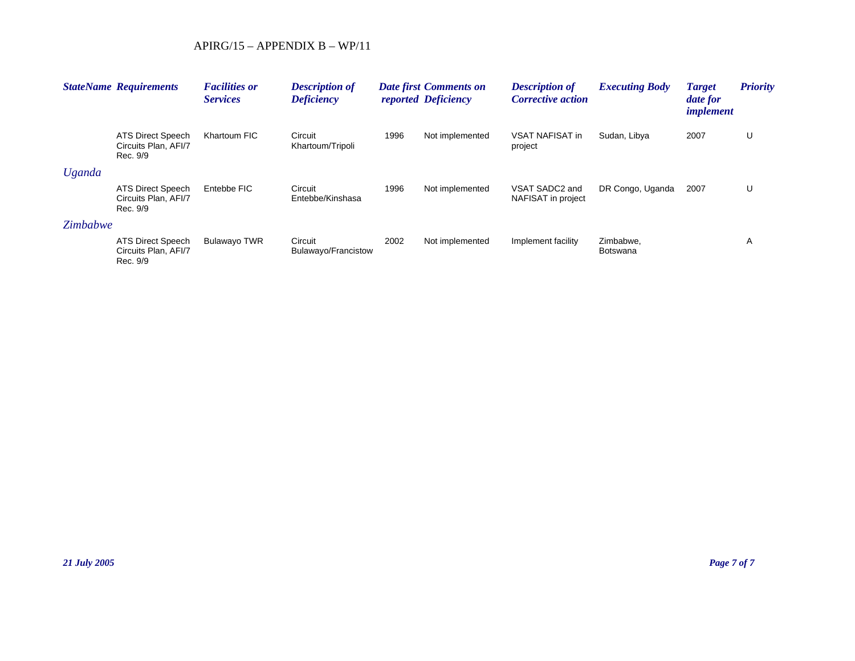|               | <b>StateName Requirements</b>                         | <b>Facilities or</b><br><b>Services</b> | <b>Description of</b><br><b>Deficiency</b> |      | <b>Date first Comments on</b><br>reported Deficiency | <b>Description of</b><br><b>Corrective action</b> | <b>Executing Body</b> | <b>Target</b><br>date for<br><i>implement</i> | <b>Priority</b> |
|---------------|-------------------------------------------------------|-----------------------------------------|--------------------------------------------|------|------------------------------------------------------|---------------------------------------------------|-----------------------|-----------------------------------------------|-----------------|
|               | ATS Direct Speech<br>Circuits Plan, AFI/7<br>Rec. 9/9 | Khartoum FIC                            | Circuit<br>Khartoum/Tripoli                | 1996 | Not implemented                                      | <b>VSAT NAFISAT in</b><br>project                 | Sudan, Libya          | 2007                                          | U               |
| <b>Uganda</b> |                                                       |                                         |                                            |      |                                                      |                                                   |                       |                                               |                 |
|               | ATS Direct Speech<br>Circuits Plan, AFI/7<br>Rec. 9/9 | Entebbe FIC                             | Circuit<br>Entebbe/Kinshasa                | 1996 | Not implemented                                      | VSAT SADC2 and<br>NAFISAT in project              | DR Congo, Uganda      | 2007                                          | U               |
| Zimbabwe      |                                                       |                                         |                                            |      |                                                      |                                                   |                       |                                               |                 |
|               | ATS Direct Speech<br>Circuits Plan, AFI/7<br>Rec. 9/9 | <b>Bulawayo TWR</b>                     | Circuit<br>Bulawayo/Francistow             | 2002 | Not implemented                                      | Implement facility                                | Zimbabwe.<br>Botswana |                                               | A               |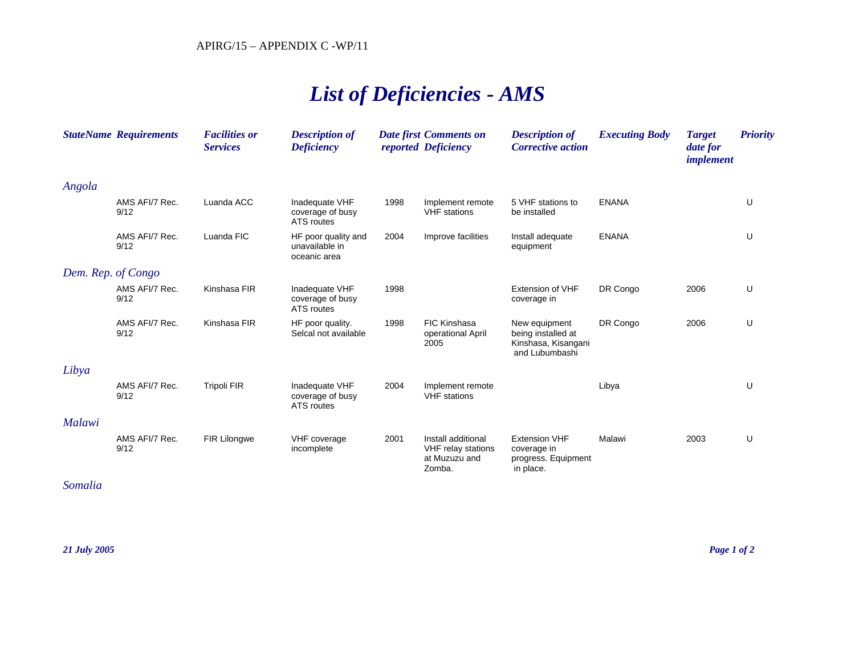# *List of Deficiencies - AMS*

|                    | <b>StateName Requirements</b> | <b>Facilities or</b><br><b>Services</b> | <b>Description of</b><br><b>Deficiency</b>            |      | <b>Date first Comments on</b><br>reported Deficiency                | <b>Description of</b><br><b>Corrective action</b>                            | <b>Executing Body</b> | <b>Target</b><br>date for<br><i>implement</i> | <b>Priority</b> |
|--------------------|-------------------------------|-----------------------------------------|-------------------------------------------------------|------|---------------------------------------------------------------------|------------------------------------------------------------------------------|-----------------------|-----------------------------------------------|-----------------|
| Angola             |                               |                                         |                                                       |      |                                                                     |                                                                              |                       |                                               |                 |
|                    | AMS AFI/7 Rec.<br>9/12        | Luanda ACC                              | Inadequate VHF<br>coverage of busy<br>ATS routes      | 1998 | Implement remote<br><b>VHF</b> stations                             | 5 VHF stations to<br>be installed                                            | <b>ENANA</b>          |                                               | U               |
|                    | AMS AFI/7 Rec.<br>9/12        | Luanda FIC                              | HF poor quality and<br>unavailable in<br>oceanic area | 2004 | Improve facilities                                                  | Install adequate<br>equipment                                                | <b>ENANA</b>          |                                               | U               |
| Dem. Rep. of Congo |                               |                                         |                                                       |      |                                                                     |                                                                              |                       |                                               |                 |
|                    | AMS AFI/7 Rec.<br>9/12        | Kinshasa FIR                            | Inadequate VHF<br>coverage of busy<br>ATS routes      | 1998 |                                                                     | <b>Extension of VHF</b><br>coverage in                                       | DR Congo              | 2006                                          | U               |
|                    | AMS AFI/7 Rec.<br>9/12        | Kinshasa FIR                            | HF poor quality.<br>Selcal not available              | 1998 | <b>FIC Kinshasa</b><br>operational April<br>2005                    | New equipment<br>being installed at<br>Kinshasa, Kisangani<br>and Lubumbashi | DR Congo              | 2006                                          | U               |
| Libya              |                               |                                         |                                                       |      |                                                                     |                                                                              |                       |                                               |                 |
|                    | AMS AFI/7 Rec.<br>9/12        | <b>Tripoli FIR</b>                      | Inadequate VHF<br>coverage of busy<br>ATS routes      | 2004 | Implement remote<br><b>VHF</b> stations                             |                                                                              | Libya                 |                                               | U               |
| Malawi             |                               |                                         |                                                       |      |                                                                     |                                                                              |                       |                                               |                 |
|                    | AMS AFI/7 Rec.<br>9/12        | <b>FIR Lilongwe</b>                     | VHF coverage<br>incomplete                            | 2001 | Install additional<br>VHF relay stations<br>at Muzuzu and<br>Zomba. | <b>Extension VHF</b><br>coverage in<br>progress. Equipment<br>in place.      | Malawi                | 2003                                          | U               |

*Somalia*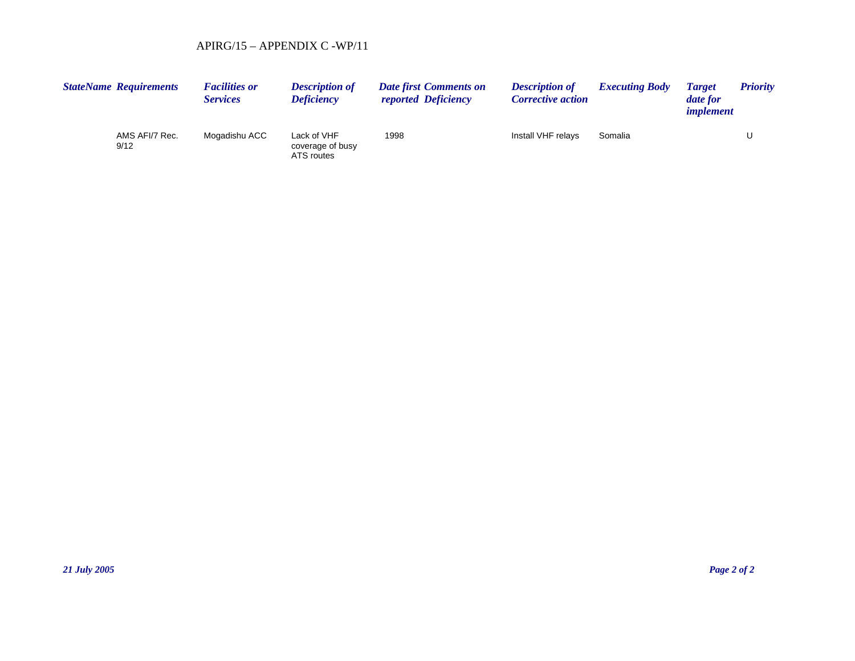| <b>StateName Requirements</b> |                | <b>Facilities or</b><br><b>Services</b> | <b>Description of</b><br><b>Deficiency</b>    | <b>Date first Comments on</b><br><i>reported Deficiency</i> | <b>Description of</b><br><b>Corrective action</b> | <b>Executing Body</b> | <b>Target</b><br>date for<br><i>implement</i> | <b>Priority</b> |
|-------------------------------|----------------|-----------------------------------------|-----------------------------------------------|-------------------------------------------------------------|---------------------------------------------------|-----------------------|-----------------------------------------------|-----------------|
| 9/12                          | AMS AFI/7 Rec. | Mogadishu ACC                           | Lack of VHF<br>coverage of busy<br>ATS routes | 1998                                                        | Install VHF relays                                | Somalia               |                                               |                 |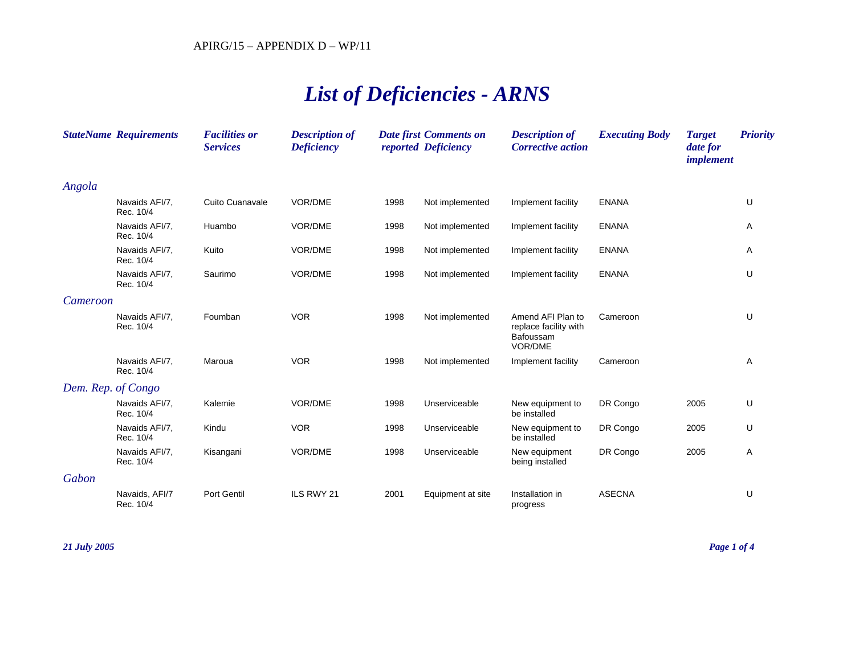# *List of Deficiencies - ARNS*

|                    | <b>StateName Requirements</b> | <b>Facilities or</b><br><b>Services</b> | <b>Description of</b><br><b>Deficiency</b> |      | <b>Date first Comments on</b><br>reported Deficiency | <b>Description of</b><br><b>Corrective action</b>                  | <b>Executing Body</b> | <b>Target</b><br>date for<br><i>implement</i> | <b>Priority</b> |
|--------------------|-------------------------------|-----------------------------------------|--------------------------------------------|------|------------------------------------------------------|--------------------------------------------------------------------|-----------------------|-----------------------------------------------|-----------------|
| Angola             |                               |                                         |                                            |      |                                                      |                                                                    |                       |                                               |                 |
|                    | Navaids AFI/7.<br>Rec. 10/4   | Cuito Cuanavale                         | VOR/DME                                    | 1998 | Not implemented                                      | Implement facility                                                 | <b>ENANA</b>          |                                               | U               |
|                    | Navaids AFI/7.<br>Rec. 10/4   | Huambo                                  | VOR/DME                                    | 1998 | Not implemented                                      | Implement facility                                                 | <b>ENANA</b>          |                                               | Α               |
|                    | Navaids AFI/7.<br>Rec. 10/4   | Kuito                                   | VOR/DME                                    | 1998 | Not implemented                                      | Implement facility                                                 | <b>ENANA</b>          |                                               | Α               |
|                    | Navaids AFI/7.<br>Rec. 10/4   | Saurimo                                 | VOR/DME                                    | 1998 | Not implemented                                      | Implement facility                                                 | <b>ENANA</b>          |                                               | U               |
| Cameroon           |                               |                                         |                                            |      |                                                      |                                                                    |                       |                                               |                 |
|                    | Navaids AFI/7,<br>Rec. 10/4   | Foumban                                 | <b>VOR</b>                                 | 1998 | Not implemented                                      | Amend AFI Plan to<br>replace facility with<br>Bafoussam<br>VOR/DME | Cameroon              |                                               | U               |
|                    | Navaids AFI/7.<br>Rec. 10/4   | Maroua                                  | <b>VOR</b>                                 | 1998 | Not implemented                                      | Implement facility                                                 | Cameroon              |                                               | Α               |
| Dem. Rep. of Congo |                               |                                         |                                            |      |                                                      |                                                                    |                       |                                               |                 |
|                    | Navaids AFI/7,<br>Rec. 10/4   | Kalemie                                 | VOR/DME                                    | 1998 | Unserviceable                                        | New equipment to<br>be installed                                   | DR Congo              | 2005                                          | U               |
|                    | Navaids AFI/7,<br>Rec. 10/4   | Kindu                                   | <b>VOR</b>                                 | 1998 | Unserviceable                                        | New equipment to<br>be installed                                   | DR Congo              | 2005                                          | U               |
|                    | Navaids AFI/7,<br>Rec. 10/4   | Kisangani                               | VOR/DME                                    | 1998 | Unserviceable                                        | New equipment<br>being installed                                   | DR Congo              | 2005                                          | Α               |
| Gabon              |                               |                                         |                                            |      |                                                      |                                                                    |                       |                                               |                 |
|                    | Navaids, AFI/7<br>Rec. 10/4   | Port Gentil                             | ILS RWY 21                                 | 2001 | Equipment at site                                    | Installation in<br>progress                                        | <b>ASECNA</b>         |                                               | U               |

*21 July 2005 Page 1 of 4*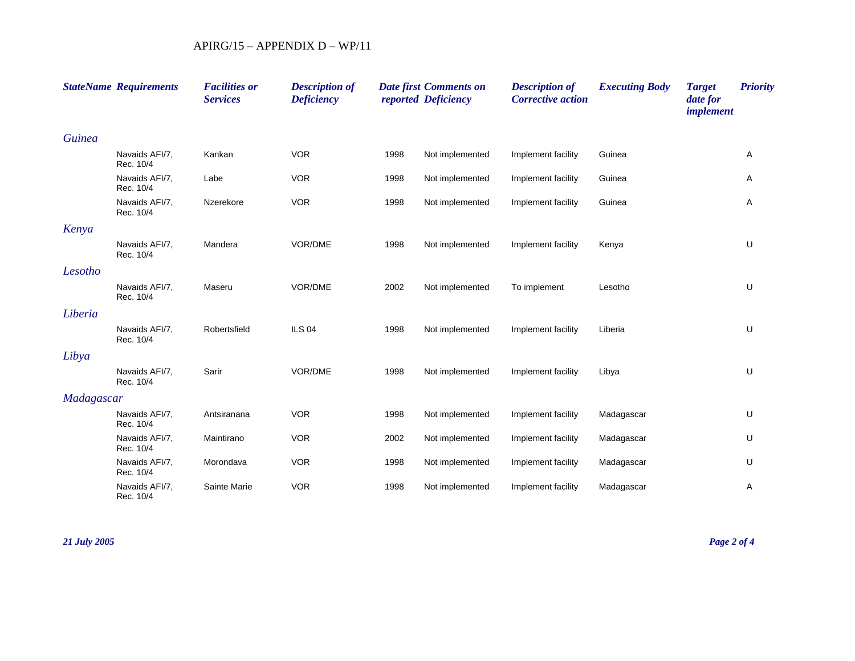|               | <b>StateName Requirements</b> | <b>Facilities or</b><br><b>Services</b> | <b>Description of</b><br><b>Deficiency</b> |      | <b>Date first Comments on</b><br>reported Deficiency | <b>Description of</b><br><b>Corrective action</b> | <b>Executing Body</b> | <b>Target</b><br>date for<br>implement | <b>Priority</b> |
|---------------|-------------------------------|-----------------------------------------|--------------------------------------------|------|------------------------------------------------------|---------------------------------------------------|-----------------------|----------------------------------------|-----------------|
| <b>Guinea</b> |                               |                                         |                                            |      |                                                      |                                                   |                       |                                        |                 |
|               | Navaids AFI/7,<br>Rec. 10/4   | Kankan                                  | <b>VOR</b>                                 | 1998 | Not implemented                                      | Implement facility                                | Guinea                |                                        | Α               |
|               | Navaids AFI/7,<br>Rec. 10/4   | Labe                                    | <b>VOR</b>                                 | 1998 | Not implemented                                      | Implement facility                                | Guinea                |                                        | Α               |
|               | Navaids AFI/7,<br>Rec. 10/4   | Nzerekore                               | <b>VOR</b>                                 | 1998 | Not implemented                                      | Implement facility                                | Guinea                |                                        | Α               |
| Kenya         |                               |                                         |                                            |      |                                                      |                                                   |                       |                                        |                 |
|               | Navaids AFI/7.<br>Rec. 10/4   | Mandera                                 | VOR/DME                                    | 1998 | Not implemented                                      | Implement facility                                | Kenya                 |                                        | U               |
| Lesotho       |                               |                                         |                                            |      |                                                      |                                                   |                       |                                        |                 |
|               | Navaids AFI/7,<br>Rec. 10/4   | Maseru                                  | VOR/DME                                    | 2002 | Not implemented                                      | To implement                                      | Lesotho               |                                        | U               |
| Liberia       |                               |                                         |                                            |      |                                                      |                                                   |                       |                                        |                 |
|               | Navaids AFI/7.<br>Rec. 10/4   | Robertsfield                            | <b>ILS 04</b>                              | 1998 | Not implemented                                      | Implement facility                                | Liberia               |                                        | U               |
| Libya         |                               |                                         |                                            |      |                                                      |                                                   |                       |                                        |                 |
|               | Navaids AFI/7,<br>Rec. 10/4   | Sarir                                   | VOR/DME                                    | 1998 | Not implemented                                      | Implement facility                                | Libya                 |                                        | U               |
| Madagascar    |                               |                                         |                                            |      |                                                      |                                                   |                       |                                        |                 |
|               | Navaids AFI/7.<br>Rec. 10/4   | Antsiranana                             | <b>VOR</b>                                 | 1998 | Not implemented                                      | Implement facility                                | Madagascar            |                                        | U               |
|               | Navaids AFI/7,<br>Rec. 10/4   | Maintirano                              | <b>VOR</b>                                 | 2002 | Not implemented                                      | Implement facility                                | Madagascar            |                                        | U               |
|               | Navaids AFI/7,<br>Rec. 10/4   | Morondava                               | <b>VOR</b>                                 | 1998 | Not implemented                                      | Implement facility                                | Madagascar            |                                        | U               |
|               | Navaids AFI/7.<br>Rec. 10/4   | Sainte Marie                            | <b>VOR</b>                                 | 1998 | Not implemented                                      | Implement facility                                | Madagascar            |                                        | A               |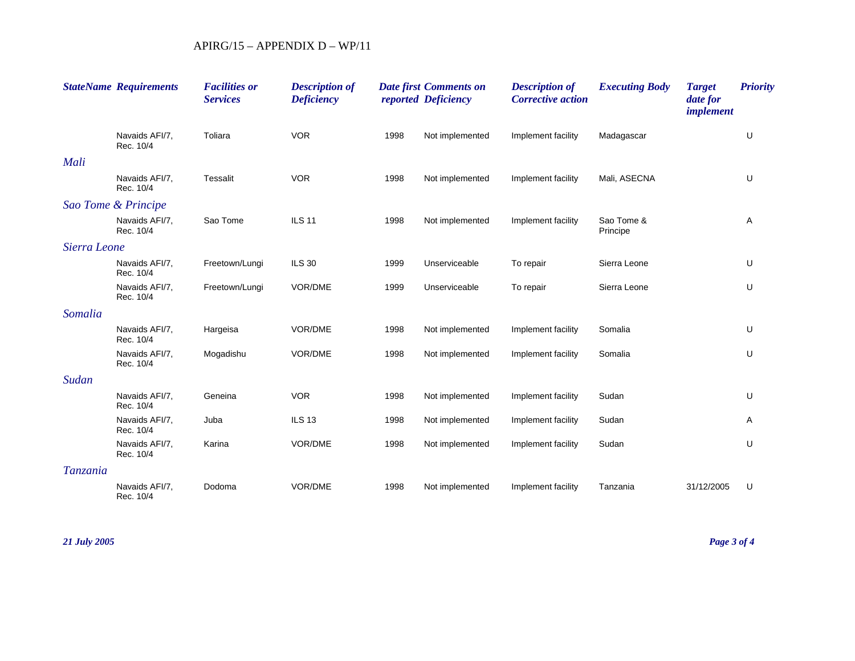|              | <b>StateName Requirements</b> | <b>Facilities or</b><br><b>Services</b> | <b>Description of</b><br><b>Deficiency</b> |      | <b>Date first Comments on</b><br>reported Deficiency | <b>Description of</b><br><b>Corrective action</b> | <b>Executing Body</b>  | <b>Target</b><br>date for<br><i>implement</i> | <b>Priority</b> |
|--------------|-------------------------------|-----------------------------------------|--------------------------------------------|------|------------------------------------------------------|---------------------------------------------------|------------------------|-----------------------------------------------|-----------------|
|              | Navaids AFI/7,<br>Rec. 10/4   | Toliara                                 | <b>VOR</b>                                 | 1998 | Not implemented                                      | Implement facility                                | Madagascar             |                                               | U               |
| Mali         |                               |                                         |                                            |      |                                                      |                                                   |                        |                                               |                 |
|              | Navaids AFI/7.<br>Rec. 10/4   | Tessalit                                | <b>VOR</b>                                 | 1998 | Not implemented                                      | Implement facility                                | Mali, ASECNA           |                                               | U               |
|              | Sao Tome & Principe           |                                         |                                            |      |                                                      |                                                   |                        |                                               |                 |
|              | Navaids AFI/7,<br>Rec. 10/4   | Sao Tome                                | <b>ILS 11</b>                              | 1998 | Not implemented                                      | Implement facility                                | Sao Tome &<br>Principe |                                               | Α               |
| Sierra Leone |                               |                                         |                                            |      |                                                      |                                                   |                        |                                               |                 |
|              | Navaids AFI/7.<br>Rec. 10/4   | Freetown/Lungi                          | <b>ILS 30</b>                              | 1999 | Unserviceable                                        | To repair                                         | Sierra Leone           |                                               | U               |
|              | Navaids AFI/7,<br>Rec. 10/4   | Freetown/Lungi                          | VOR/DME                                    | 1999 | Unserviceable                                        | To repair                                         | Sierra Leone           |                                               | U               |
| Somalia      |                               |                                         |                                            |      |                                                      |                                                   |                        |                                               |                 |
|              | Navaids AFI/7,<br>Rec. 10/4   | Hargeisa                                | VOR/DME                                    | 1998 | Not implemented                                      | Implement facility                                | Somalia                |                                               | U               |
|              | Navaids AFI/7.<br>Rec. 10/4   | Mogadishu                               | VOR/DME                                    | 1998 | Not implemented                                      | Implement facility                                | Somalia                |                                               | U               |
| Sudan        |                               |                                         |                                            |      |                                                      |                                                   |                        |                                               |                 |
|              | Navaids AFI/7,<br>Rec. 10/4   | Geneina                                 | <b>VOR</b>                                 | 1998 | Not implemented                                      | Implement facility                                | Sudan                  |                                               | U               |
|              | Navaids AFI/7.<br>Rec. 10/4   | Juba                                    | <b>ILS 13</b>                              | 1998 | Not implemented                                      | Implement facility                                | Sudan                  |                                               | Α               |
|              | Navaids AFI/7,<br>Rec. 10/4   | Karina                                  | VOR/DME                                    | 1998 | Not implemented                                      | Implement facility                                | Sudan                  |                                               | U               |
| Tanzania     |                               |                                         |                                            |      |                                                      |                                                   |                        |                                               |                 |
|              | Navaids AFI/7.<br>Rec. 10/4   | Dodoma                                  | VOR/DME                                    | 1998 | Not implemented                                      | Implement facility                                | Tanzania               | 31/12/2005                                    | U               |